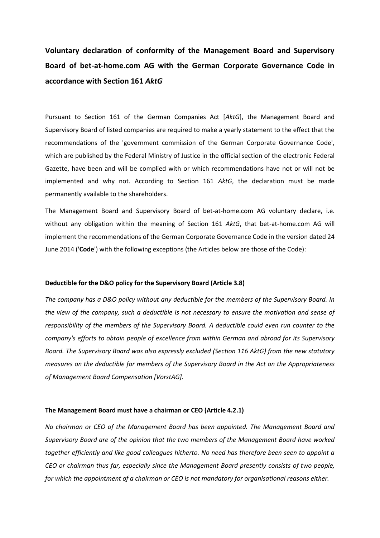**Voluntary declaration of conformity of the Management Board and Supervisory Board of bet-at-home.com AG with the German Corporate Governance Code in accordance with Section 161** *AktG*

Pursuant to Section 161 of the German Companies Act [*AktG*], the Management Board and Supervisory Board of listed companies are required to make a yearly statement to the effect that the recommendations of the 'government commission of the German Corporate Governance Code', which are published by the Federal Ministry of Justice in the official section of the electronic Federal Gazette, have been and will be complied with or which recommendations have not or will not be implemented and why not. According to Section 161 *AktG*, the declaration must be made permanently available to the shareholders.

The Management Board and Supervisory Board of bet-at-home.com AG voluntary declare, i.e. without any obligation within the meaning of Section 161 *AktG*, that bet-at-home.com AG will implement the recommendations of the German Corporate Governance Code in the version dated 24 June 2014 ('**Code**') with the following exceptions (the Articles below are those of the Code):

#### **Deductible for the D&O policy for the Supervisory Board (Article 3.8)**

*The company has a D&O policy without any deductible for the members of the Supervisory Board. In the view of the company, such a deductible is not necessary to ensure the motivation and sense of responsibility of the members of the Supervisory Board. A deductible could even run counter to the company's efforts to obtain people of excellence from within German and abroad for its Supervisory Board. The Supervisory Board was also expressly excluded (Section 116 AktG) from the new statutory measures on the deductible for members of the Supervisory Board in the Act on the Appropriateness of Management Board Compensation [VorstAG].*

#### **The Management Board must have a chairman or CEO (Article 4.2.1)**

*No chairman or CEO of the Management Board has been appointed. The Management Board and Supervisory Board are of the opinion that the two members of the Management Board have worked together efficiently and like good colleagues hitherto. No need has therefore been seen to appoint a CEO or chairman thus far, especially since the Management Board presently consists of two people, for which the appointment of a chairman or CEO is not mandatory for organisational reasons either.*